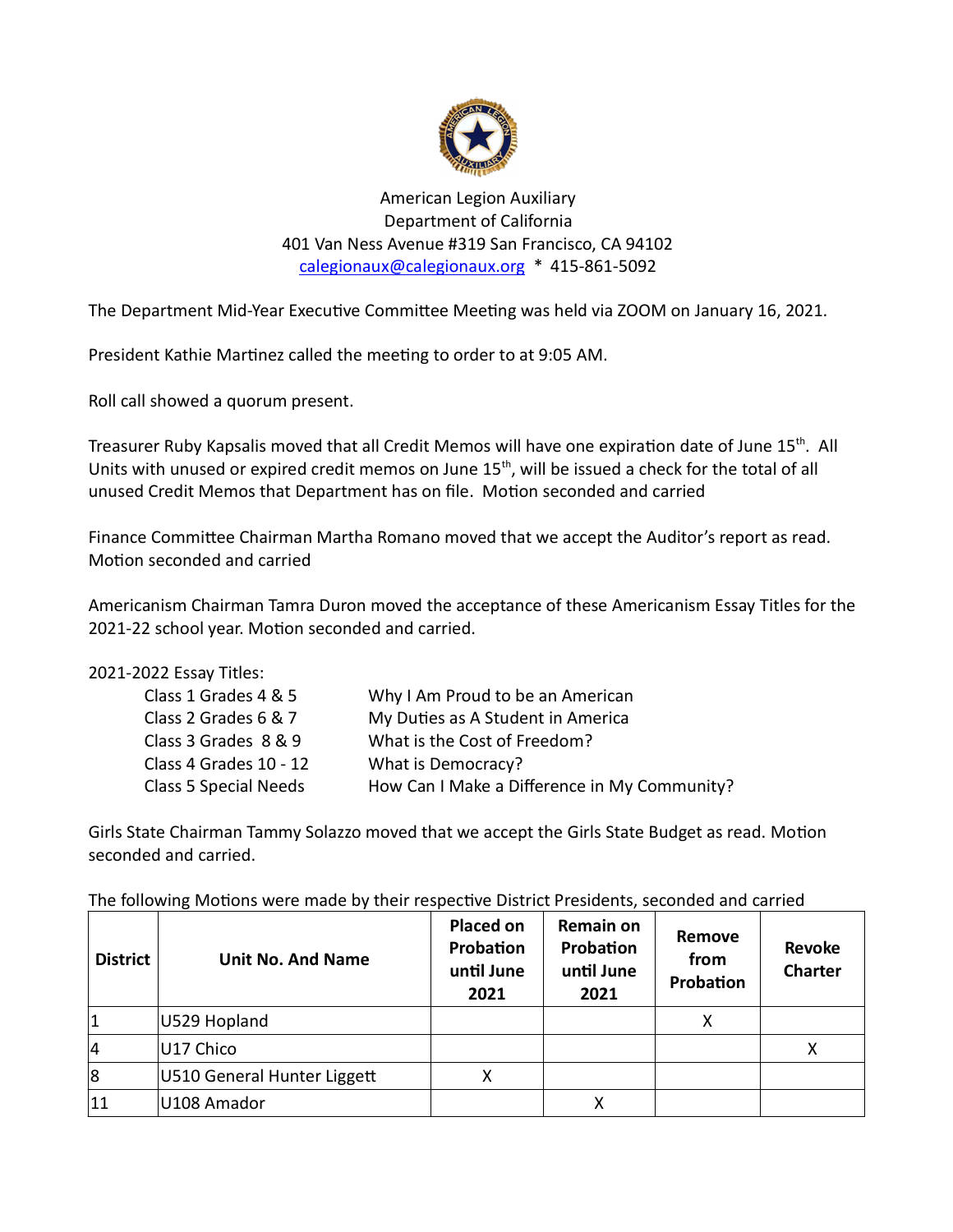

American Legion Auxiliary Department of California 401 Van Ness Avenue #319 San Francisco, CA 94102 calegionaux@calegionaux.org \* 415-861-5092

The Department Mid-Year Executive Committee Meeting was held via ZOOM on January 16, 2021.

President Kathie Martinez called the meeting to order to at 9:05 AM.

Roll call showed a quorum present.

Treasurer Ruby Kapsalis moved that all Credit Memos will have one expiration date of June 15<sup>th</sup>. All Units with unused or expired credit memos on June 15<sup>th</sup>, will be issued a check for the total of all unused Credit Memos that Department has on file. Motion seconded and carried

Finance Committee Chairman Martha Romano moved that we accept the Auditor's report as read. Motion seconded and carried

Americanism Chairman Tamra Duron moved the acceptance of these Americanism Essay Titles for the 2021-22 school year. Motion seconded and carried.

| 2021-2022 Essay Titles: |                                              |
|-------------------------|----------------------------------------------|
| Class 1 Grades 4 & 5    | Why I Am Proud to be an American             |
| Class 2 Grades 6 & 7    | My Duties as A Student in America            |
| Class 3 Grades 8 & 9    | What is the Cost of Freedom?                 |
| Class 4 Grades 10 - 12  | What is Democracy?                           |
| Class 5 Special Needs   | How Can I Make a Difference in My Community? |

Girls State Chairman Tammy Solazzo moved that we accept the Girls State Budget as read. Motion seconded and carried.

| <b>District</b> | <b>Unit No. And Name</b>    | <b>Placed on</b><br>Probation<br>until June<br>2021 | <b>Remain on</b><br>Probation<br>until June<br>2021 | Remove<br>from<br>Probation | <b>Revoke</b><br><b>Charter</b> |
|-----------------|-----------------------------|-----------------------------------------------------|-----------------------------------------------------|-----------------------------|---------------------------------|
|                 | U529 Hopland                |                                                     |                                                     | x                           |                                 |
| 14              | U17 Chico                   |                                                     |                                                     |                             | х                               |
| 8               | U510 General Hunter Liggett | х                                                   |                                                     |                             |                                 |
| 11              | U108 Amador                 |                                                     |                                                     |                             |                                 |

The following Motions were made by their respective District Presidents, seconded and carried